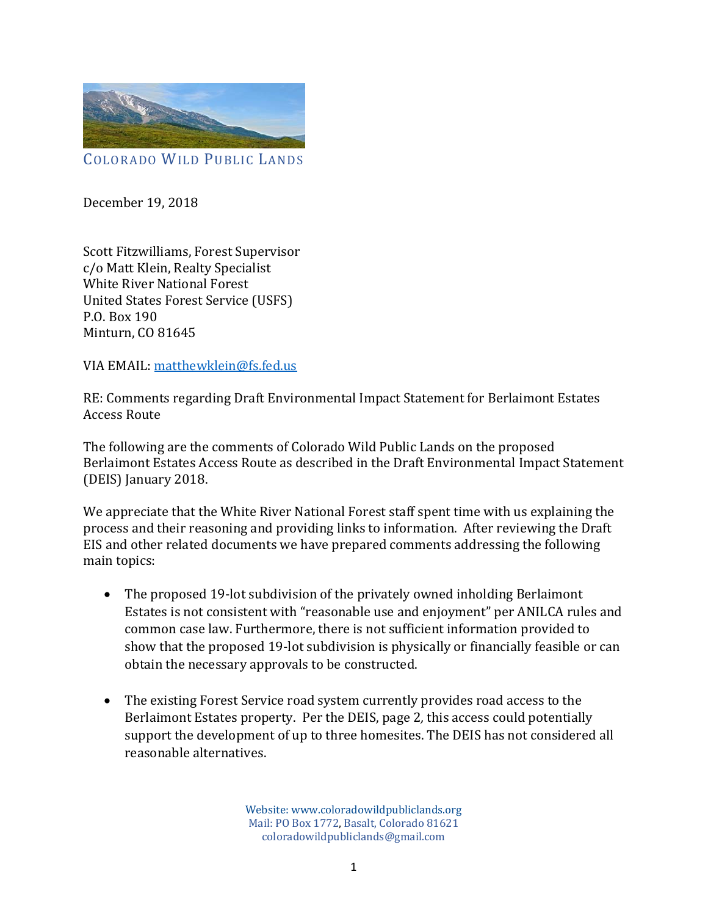

December 19, 2018

Scott Fitzwilliams, Forest Supervisor c/o Matt Klein, Realty Specialist White River National Forest United States Forest Service (USFS) P.O. Box 190 Minturn, CO 81645

VIA EMAIL: matthewklein@fs.fed.us

RE: Comments regarding Draft Environmental Impact Statement for Berlaimont Estates Access Route

The following are the comments of Colorado Wild Public Lands on the proposed Berlaimont Estates Access Route as described in the Draft Environmental Impact Statement (DEIS) January 2018.

We appreciate that the White River National Forest staff spent time with us explaining the process and their reasoning and providing links to information. After reviewing the Draft EIS and other related documents we have prepared comments addressing the following main topics:

- The proposed 19-lot subdivision of the privately owned inholding Berlaimont Estates is not consistent with "reasonable use and enjoyment" per ANILCA rules and common case law. Furthermore, there is not sufficient information provided to show that the proposed 19-lot subdivision is physically or financially feasible or can obtain the necessary approvals to be constructed.
- The existing Forest Service road system currently provides road access to the Berlaimont Estates property. Per the DEIS, page 2*,* this access could potentially support the development of up to three homesites. The DEIS has not considered all reasonable alternatives.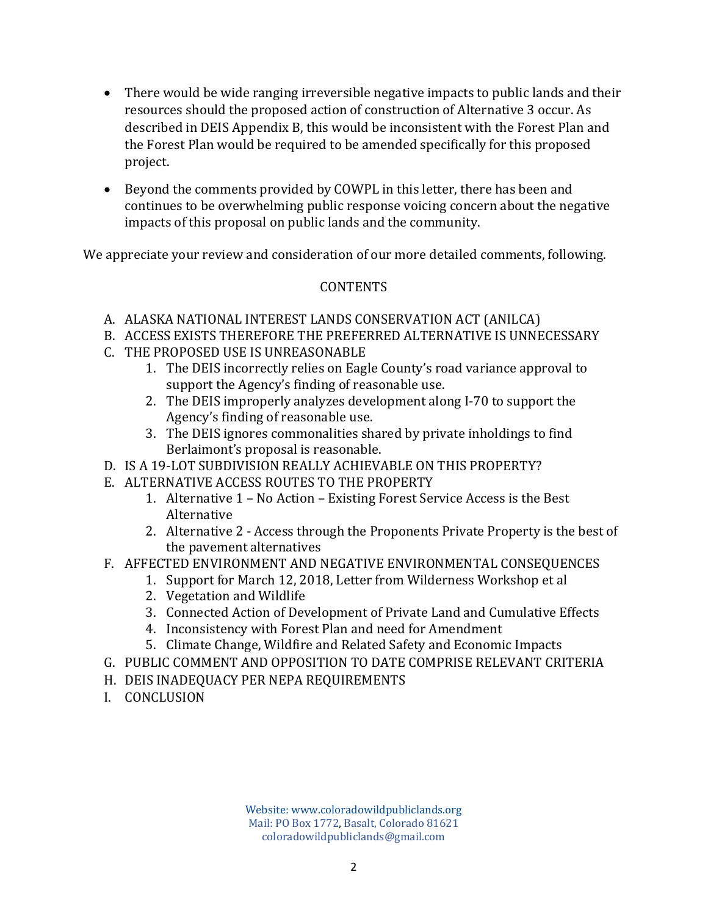- There would be wide ranging irreversible negative impacts to public lands and their resources should the proposed action of construction of Alternative 3 occur. As described in DEIS Appendix B, this would be inconsistent with the Forest Plan and the Forest Plan would be required to be amended specifically for this proposed project.
- Beyond the comments provided by COWPL in this letter, there has been and continues to be overwhelming public response voicing concern about the negative impacts of this proposal on public lands and the community.

We appreciate your review and consideration of our more detailed comments, following.

# **CONTENTS**

- A. ALASKA NATIONAL INTEREST LANDS CONSERVATION ACT (ANILCA)
- B. ACCESS EXISTS THEREFORE THE PREFERRED ALTERNATIVE IS UNNECESSARY
- C. THE PROPOSED USE IS UNREASONABLE
	- 1. The DEIS incorrectly relies on Eagle County's road variance approval to support the Agency's finding of reasonable use.
	- 2. The DEIS improperly analyzes development along I-70 to support the Agency's finding of reasonable use.
	- 3. The DEIS ignores commonalities shared by private inholdings to find Berlaimont's proposal is reasonable.
- D. IS A 19-LOT SUBDIVISION REALLY ACHIEVABLE ON THIS PROPERTY?
- E. ALTERNATIVE ACCESS ROUTES TO THE PROPERTY
	- 1. Alternative 1 No Action Existing Forest Service Access is the Best Alternative
	- 2. Alternative 2 Access through the Proponents Private Property is the best of the pavement alternatives
- F. AFFECTED ENVIRONMENT AND NEGATIVE ENVIRONMENTAL CONSEQUENCES
	- 1. Support for March 12, 2018, Letter from Wilderness Workshop et al
	- 2. Vegetation and Wildlife
	- 3. Connected Action of Development of Private Land and Cumulative Effects
	- 4. Inconsistency with Forest Plan and need for Amendment
	- 5. Climate Change, Wildfire and Related Safety and Economic Impacts
- G. PUBLIC COMMENT AND OPPOSITION TO DATE COMPRISE RELEVANT CRITERIA
- H. DEIS INADEQUACY PER NEPA REQUIREMENTS
- I. CONCLUSION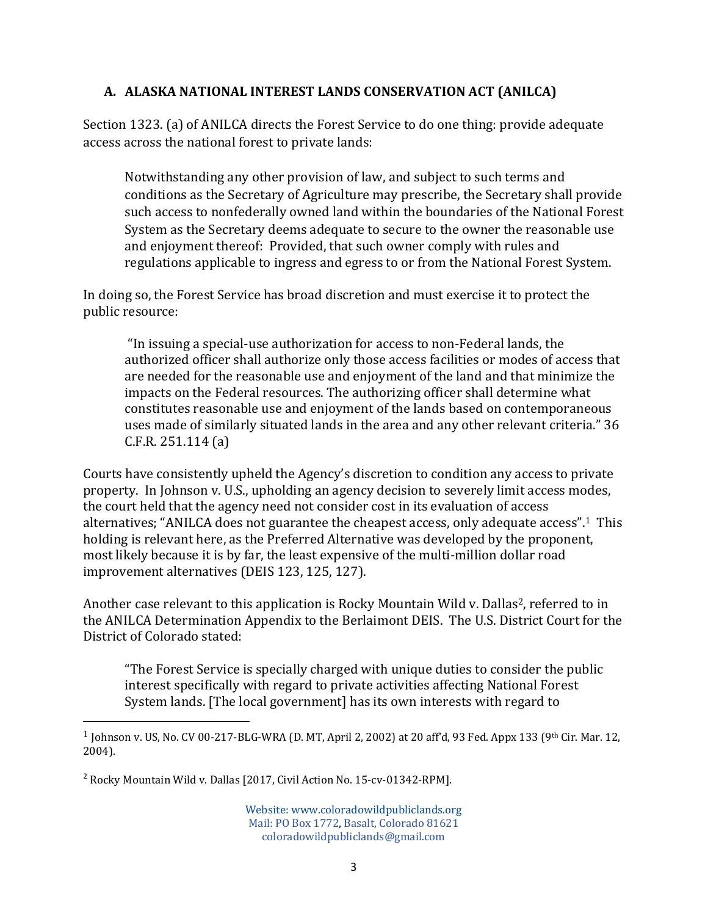#### **A. ALASKA NATIONAL INTEREST LANDS CONSERVATION ACT (ANILCA)**

Section 1323. (a) of ANILCA directs the Forest Service to do one thing: provide adequate access across the national forest to private lands:

Notwithstanding any other provision of law, and subject to such terms and conditions as the Secretary of Agriculture may prescribe, the Secretary shall provide such access to nonfederally owned land within the boundaries of the National Forest System as the Secretary deems adequate to secure to the owner the reasonable use and enjoyment thereof: Provided, that such owner comply with rules and regulations applicable to ingress and egress to or from the National Forest System.

In doing so, the Forest Service has broad discretion and must exercise it to protect the public resource:

 "In issuing a special-use authorization for access to non-Federal lands, the authorized officer shall authorize only those access facilities or modes of access that are needed for the reasonable use and enjoyment of the land and that minimize the impacts on the Federal resources. The authorizing officer shall determine what constitutes reasonable use and enjoyment of the lands based on contemporaneous uses made of similarly situated lands in the area and any other relevant criteria." 36 C.F.R. 251.114 (a)

Courts have consistently upheld the Agency's discretion to condition any access to private property. In Johnson v. U.S., upholding an agency decision to severely limit access modes, the court held that the agency need not consider cost in its evaluation of access alternatives; "ANILCA does not guarantee the cheapest access, only adequate access".1 This holding is relevant here, as the Preferred Alternative was developed by the proponent, most likely because it is by far, the least expensive of the multi-million dollar road improvement alternatives (DEIS 123, 125, 127).

Another case relevant to this application is Rocky Mountain Wild v. Dallas<sup>2</sup>, referred to in the ANILCA Determination Appendix to the Berlaimont DEIS. The U.S. District Court for the District of Colorado stated:

"The Forest Service is specially charged with unique duties to consider the public interest specifically with regard to private activities affecting National Forest System lands. [The local government] has its own interests with regard to

<sup>2</sup> Rocky Mountain Wild v. Dallas [2017, Civil Action No. 15-cv-01342-RPM].

<sup>1</sup> Johnson v. US, No. CV 00-217-BLG-WRA (D. MT, April 2, 2002) at 20 aff'd, 93 Fed. Appx 133 (9th Cir. Mar. 12, 2004).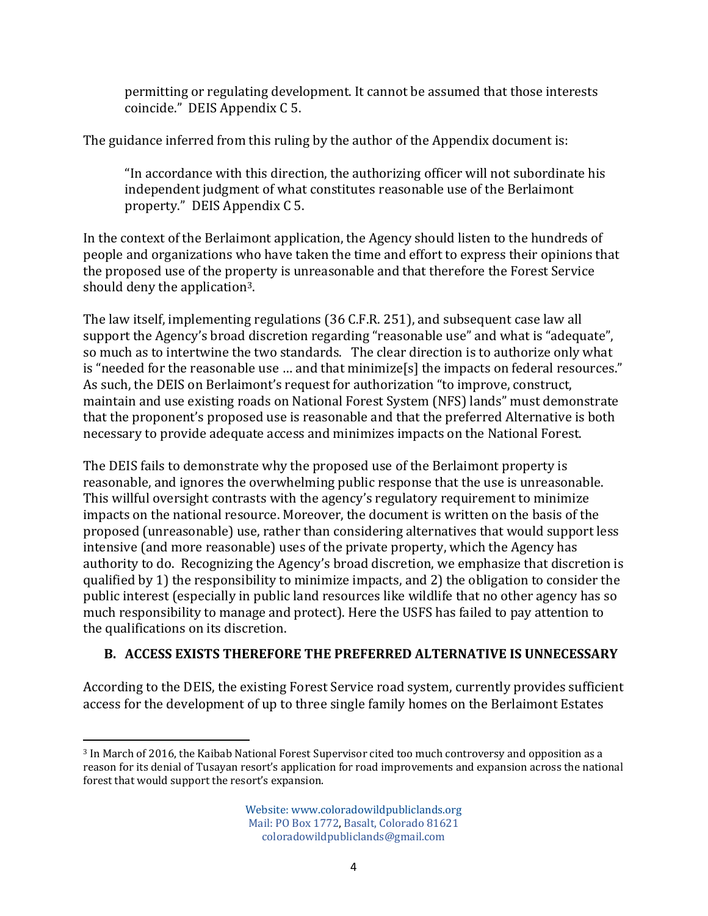permitting or regulating development. It cannot be assumed that those interests coincide." DEIS Appendix C 5.

The guidance inferred from this ruling by the author of the Appendix document is:

"In accordance with this direction, the authorizing officer will not subordinate his independent judgment of what constitutes reasonable use of the Berlaimont property." DEIS Appendix C 5.

In the context of the Berlaimont application, the Agency should listen to the hundreds of people and organizations who have taken the time and effort to express their opinions that the proposed use of the property is unreasonable and that therefore the Forest Service should deny the application3.

The law itself, implementing regulations (36 C.F.R. 251), and subsequent case law all support the Agency's broad discretion regarding "reasonable use" and what is "adequate", so much as to intertwine the two standards. The clear direction is to authorize only what is "needed for the reasonable use … and that minimize[s] the impacts on federal resources." As such, the DEIS on Berlaimont's request for authorization "to improve, construct, maintain and use existing roads on National Forest System (NFS) lands" must demonstrate that the proponent's proposed use is reasonable and that the preferred Alternative is both necessary to provide adequate access and minimizes impacts on the National Forest.

The DEIS fails to demonstrate why the proposed use of the Berlaimont property is reasonable, and ignores the overwhelming public response that the use is unreasonable. This willful oversight contrasts with the agency's regulatory requirement to minimize impacts on the national resource. Moreover, the document is written on the basis of the proposed (unreasonable) use, rather than considering alternatives that would support less intensive (and more reasonable) uses of the private property, which the Agency has authority to do. Recognizing the Agency's broad discretion, we emphasize that discretion is qualified by 1) the responsibility to minimize impacts, and 2) the obligation to consider the public interest (especially in public land resources like wildlife that no other agency has so much responsibility to manage and protect). Here the USFS has failed to pay attention to the qualifications on its discretion.

# **B. ACCESS EXISTS THEREFORE THE PREFERRED ALTERNATIVE IS UNNECESSARY**

According to the DEIS, the existing Forest Service road system, currently provides sufficient access for the development of up to three single family homes on the Berlaimont Estates

 3 In March of 2016, the Kaibab National Forest Supervisor cited too much controversy and opposition as a reason for its denial of Tusayan resort's application for road improvements and expansion across the national forest that would support the resort's expansion.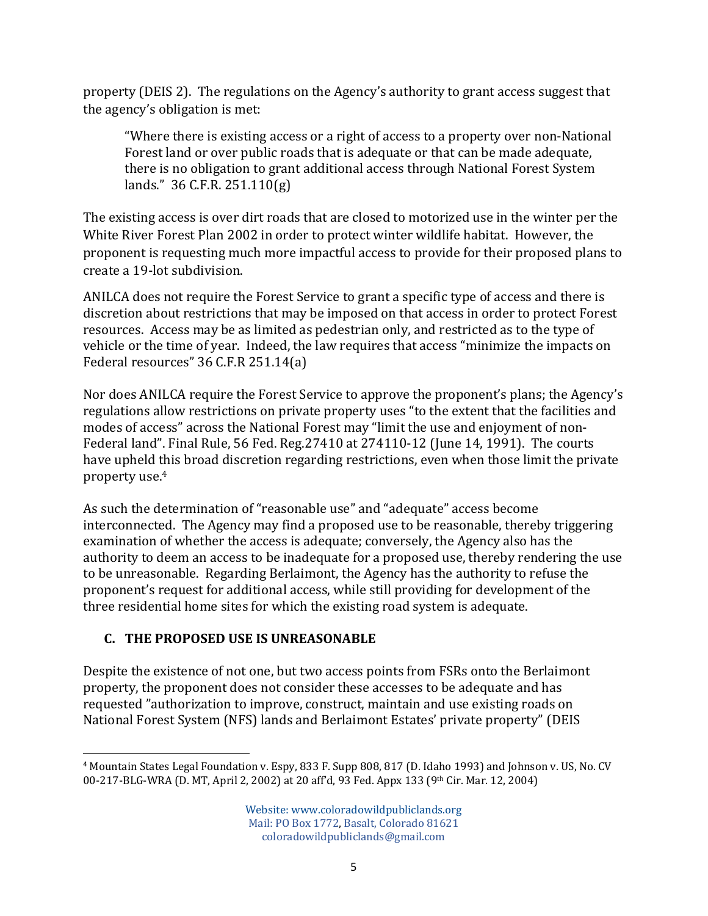property (DEIS 2). The regulations on the Agency's authority to grant access suggest that the agency's obligation is met:

"Where there is existing access or a right of access to a property over non-National Forest land or over public roads that is adequate or that can be made adequate, there is no obligation to grant additional access through National Forest System lands." 36 C.F.R. 251.110(g)

The existing access is over dirt roads that are closed to motorized use in the winter per the White River Forest Plan 2002 in order to protect winter wildlife habitat. However, the proponent is requesting much more impactful access to provide for their proposed plans to create a 19-lot subdivision.

ANILCA does not require the Forest Service to grant a specific type of access and there is discretion about restrictions that may be imposed on that access in order to protect Forest resources. Access may be as limited as pedestrian only, and restricted as to the type of vehicle or the time of year. Indeed, the law requires that access "minimize the impacts on Federal resources" 36 C.F.R 251.14(a)

Nor does ANILCA require the Forest Service to approve the proponent's plans; the Agency's regulations allow restrictions on private property uses "to the extent that the facilities and modes of access" across the National Forest may "limit the use and enjoyment of non-Federal land". Final Rule, 56 Fed. Reg.27410 at 274110-12 (June 14, 1991). The courts have upheld this broad discretion regarding restrictions, even when those limit the private property use.4

As such the determination of "reasonable use" and "adequate" access become interconnected. The Agency may find a proposed use to be reasonable, thereby triggering examination of whether the access is adequate; conversely, the Agency also has the authority to deem an access to be inadequate for a proposed use, thereby rendering the use to be unreasonable. Regarding Berlaimont, the Agency has the authority to refuse the proponent's request for additional access, while still providing for development of the three residential home sites for which the existing road system is adequate.

# **C. THE PROPOSED USE IS UNREASONABLE**

Despite the existence of not one, but two access points from FSRs onto the Berlaimont property, the proponent does not consider these accesses to be adequate and has requested "authorization to improve, construct, maintain and use existing roads on National Forest System (NFS) lands and Berlaimont Estates' private property" (DEIS

 <sup>4</sup> Mountain States Legal Foundation v. Espy, 833 F. Supp 808, 817 (D. Idaho 1993) and Johnson v. US, No. CV 00-217-BLG-WRA (D. MT, April 2, 2002) at 20 aff'd, 93 Fed. Appx 133 (9th Cir. Mar. 12, 2004)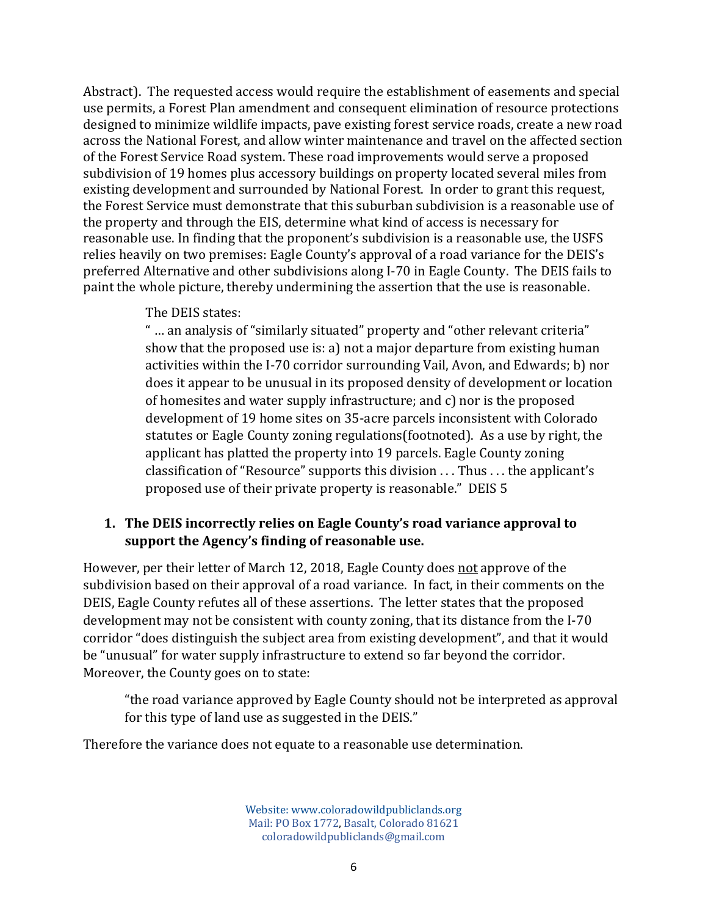Abstract). The requested access would require the establishment of easements and special use permits, a Forest Plan amendment and consequent elimination of resource protections designed to minimize wildlife impacts, pave existing forest service roads, create a new road across the National Forest, and allow winter maintenance and travel on the affected section of the Forest Service Road system. These road improvements would serve a proposed subdivision of 19 homes plus accessory buildings on property located several miles from existing development and surrounded by National Forest. In order to grant this request, the Forest Service must demonstrate that this suburban subdivision is a reasonable use of the property and through the EIS, determine what kind of access is necessary for reasonable use. In finding that the proponent's subdivision is a reasonable use, the USFS relies heavily on two premises: Eagle County's approval of a road variance for the DEIS's preferred Alternative and other subdivisions along I-70 in Eagle County. The DEIS fails to paint the whole picture, thereby undermining the assertion that the use is reasonable.

#### The DEIS states:

" … an analysis of "similarly situated" property and "other relevant criteria" show that the proposed use is: a) not a major departure from existing human activities within the I-70 corridor surrounding Vail, Avon, and Edwards; b) nor does it appear to be unusual in its proposed density of development or location of homesites and water supply infrastructure; and c) nor is the proposed development of 19 home sites on 35-acre parcels inconsistent with Colorado statutes or Eagle County zoning regulations(footnoted). As a use by right, the applicant has platted the property into 19 parcels. Eagle County zoning classification of "Resource" supports this division . . . Thus . . . the applicant's proposed use of their private property is reasonable." DEIS 5

#### **1. The DEIS incorrectly relies on Eagle County's road variance approval to support the Agency's finding of reasonable use.**

However, per their letter of March 12, 2018, Eagle County does not approve of the subdivision based on their approval of a road variance. In fact, in their comments on the DEIS, Eagle County refutes all of these assertions. The letter states that the proposed development may not be consistent with county zoning, that its distance from the I-70 corridor "does distinguish the subject area from existing development", and that it would be "unusual" for water supply infrastructure to extend so far beyond the corridor. Moreover, the County goes on to state:

"the road variance approved by Eagle County should not be interpreted as approval for this type of land use as suggested in the DEIS."

Therefore the variance does not equate to a reasonable use determination.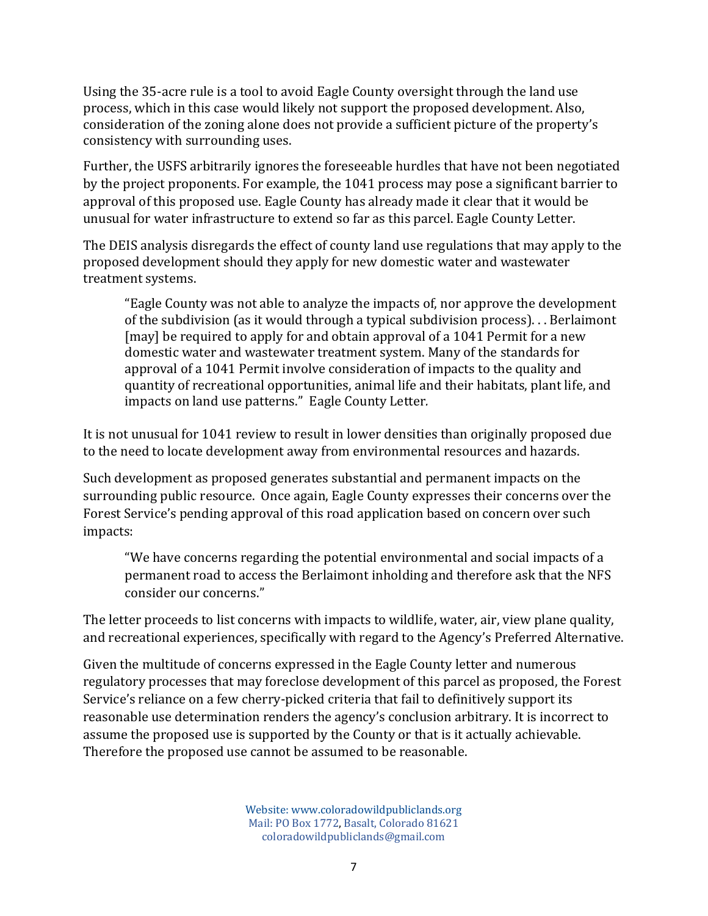Using the 35-acre rule is a tool to avoid Eagle County oversight through the land use process, which in this case would likely not support the proposed development. Also, consideration of the zoning alone does not provide a sufficient picture of the property's consistency with surrounding uses.

Further, the USFS arbitrarily ignores the foreseeable hurdles that have not been negotiated by the project proponents. For example, the 1041 process may pose a significant barrier to approval of this proposed use. Eagle County has already made it clear that it would be unusual for water infrastructure to extend so far as this parcel. Eagle County Letter.

The DEIS analysis disregards the effect of county land use regulations that may apply to the proposed development should they apply for new domestic water and wastewater treatment systems.

"Eagle County was not able to analyze the impacts of, nor approve the development of the subdivision (as it would through a typical subdivision process). . . Berlaimont [may] be required to apply for and obtain approval of a 1041 Permit for a new domestic water and wastewater treatment system. Many of the standards for approval of a 1041 Permit involve consideration of impacts to the quality and quantity of recreational opportunities, animal life and their habitats, plant life, and impacts on land use patterns." Eagle County Letter*.*

It is not unusual for 1041 review to result in lower densities than originally proposed due to the need to locate development away from environmental resources and hazards.

Such development as proposed generates substantial and permanent impacts on the surrounding public resource. Once again, Eagle County expresses their concerns over the Forest Service's pending approval of this road application based on concern over such impacts:

"We have concerns regarding the potential environmental and social impacts of a permanent road to access the Berlaimont inholding and therefore ask that the NFS consider our concerns."

The letter proceeds to list concerns with impacts to wildlife, water, air, view plane quality, and recreational experiences, specifically with regard to the Agency's Preferred Alternative.

Given the multitude of concerns expressed in the Eagle County letter and numerous regulatory processes that may foreclose development of this parcel as proposed, the Forest Service's reliance on a few cherry-picked criteria that fail to definitively support its reasonable use determination renders the agency's conclusion arbitrary. It is incorrect to assume the proposed use is supported by the County or that is it actually achievable. Therefore the proposed use cannot be assumed to be reasonable.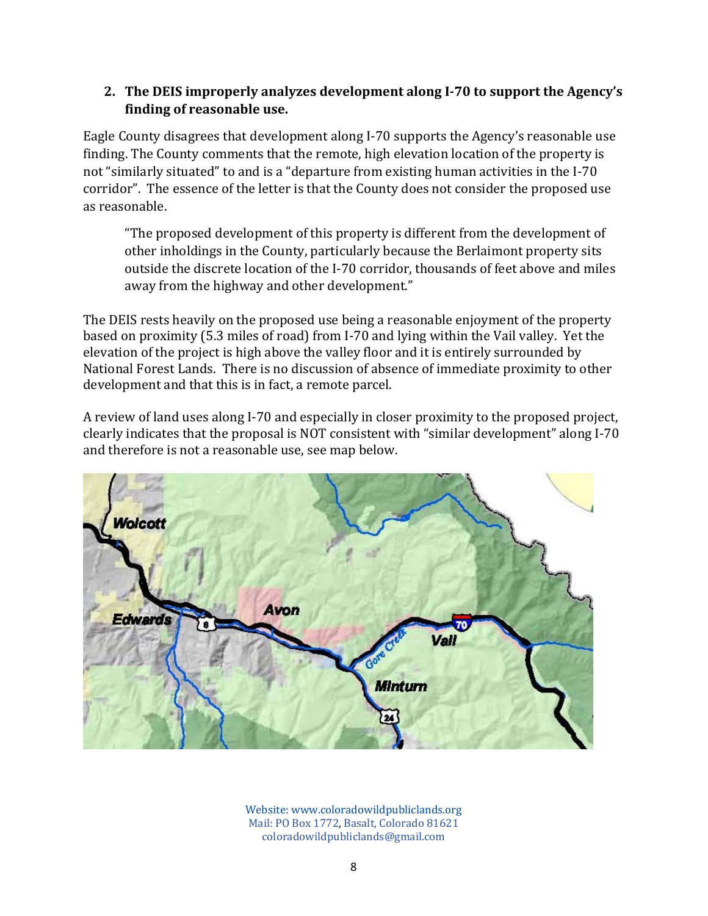#### **2. The DEIS improperly analyzes development along I‐70 to support the Agency's finding of reasonable use.**

Eagle County disagrees that development along I-70 supports the Agency's reasonable use finding. The County comments that the remote, high elevation location of the property is not "similarly situated" to and is a "departure from existing human activities in the I-70 corridor". The essence of the letter is that the County does not consider the proposed use as reasonable.

"The proposed development of this property is different from the development of other inholdings in the County, particularly because the Berlaimont property sits outside the discrete location of the I-70 corridor, thousands of feet above and miles away from the highway and other development."

The DEIS rests heavily on the proposed use being a reasonable enjoyment of the property based on proximity (5.3 miles of road) from I-70 and lying within the Vail valley. Yet the elevation of the project is high above the valley floor and it is entirely surrounded by National Forest Lands. There is no discussion of absence of immediate proximity to other development and that this is in fact, a remote parcel.

A review of land uses along I-70 and especially in closer proximity to the proposed project, clearly indicates that the proposal is NOT consistent with "similar development" along I-70 and therefore is not a reasonable use, see map below.

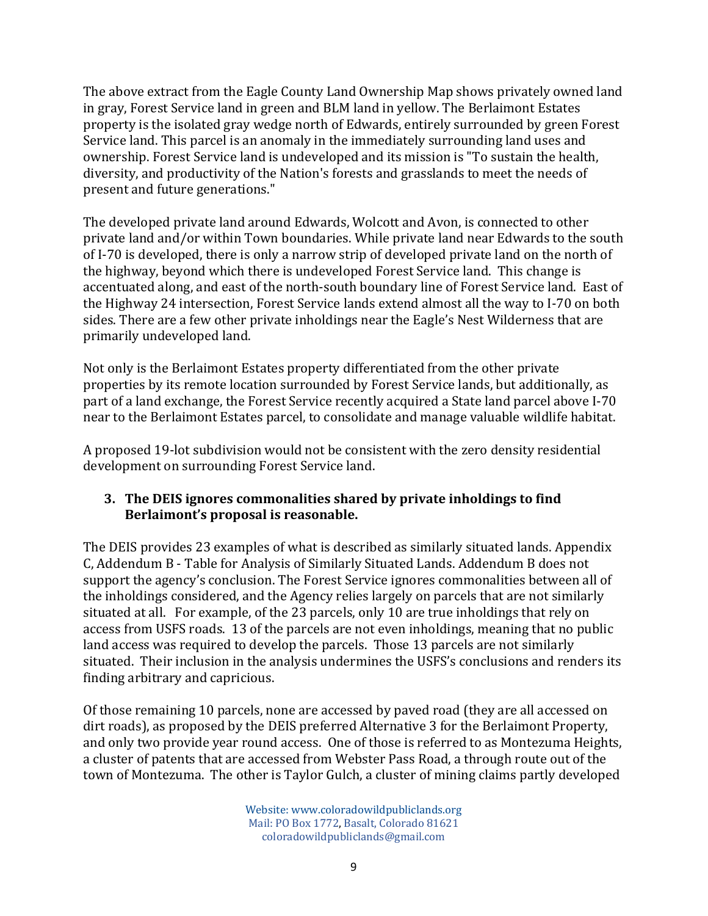The above extract from the Eagle County Land Ownership Map shows privately owned land in gray, Forest Service land in green and BLM land in yellow. The Berlaimont Estates property is the isolated gray wedge north of Edwards, entirely surrounded by green Forest Service land. This parcel is an anomaly in the immediately surrounding land uses and ownership. Forest Service land is undeveloped and its mission is "To sustain the health, diversity, and productivity of the Nation's forests and grasslands to meet the needs of present and future generations."

The developed private land around Edwards, Wolcott and Avon, is connected to other private land and/or within Town boundaries. While private land near Edwards to the south of I-70 is developed, there is only a narrow strip of developed private land on the north of the highway, beyond which there is undeveloped Forest Service land. This change is accentuated along, and east of the north-south boundary line of Forest Service land. East of the Highway 24 intersection, Forest Service lands extend almost all the way to I-70 on both sides. There are a few other private inholdings near the Eagle's Nest Wilderness that are primarily undeveloped land.

Not only is the Berlaimont Estates property differentiated from the other private properties by its remote location surrounded by Forest Service lands, but additionally, as part of a land exchange, the Forest Service recently acquired a State land parcel above I-70 near to the Berlaimont Estates parcel, to consolidate and manage valuable wildlife habitat.

A proposed 19-lot subdivision would not be consistent with the zero density residential development on surrounding Forest Service land.

#### **3. The DEIS ignores commonalities shared by private inholdings to find Berlaimont's proposal is reasonable.**

The DEIS provides 23 examples of what is described as similarly situated lands. Appendix C, Addendum B - Table for Analysis of Similarly Situated Lands. Addendum B does not support the agency's conclusion. The Forest Service ignores commonalities between all of the inholdings considered, and the Agency relies largely on parcels that are not similarly situated at all. For example, of the 23 parcels, only 10 are true inholdings that rely on access from USFS roads. 13 of the parcels are not even inholdings, meaning that no public land access was required to develop the parcels. Those 13 parcels are not similarly situated. Their inclusion in the analysis undermines the USFS's conclusions and renders its finding arbitrary and capricious.

Of those remaining 10 parcels, none are accessed by paved road (they are all accessed on dirt roads), as proposed by the DEIS preferred Alternative 3 for the Berlaimont Property, and only two provide year round access. One of those is referred to as Montezuma Heights, a cluster of patents that are accessed from Webster Pass Road, a through route out of the town of Montezuma. The other is Taylor Gulch, a cluster of mining claims partly developed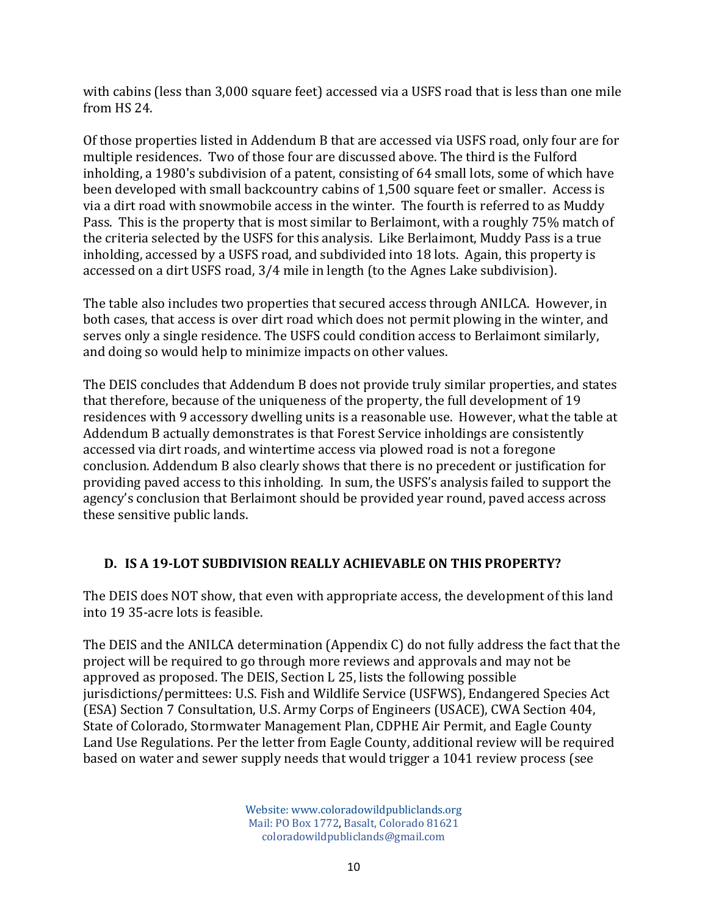with cabins (less than 3,000 square feet) accessed via a USFS road that is less than one mile from HS 24.

Of those properties listed in Addendum B that are accessed via USFS road, only four are for multiple residences. Two of those four are discussed above. The third is the Fulford inholding, a 1980's subdivision of a patent, consisting of 64 small lots, some of which have been developed with small backcountry cabins of 1,500 square feet or smaller. Access is via a dirt road with snowmobile access in the winter. The fourth is referred to as Muddy Pass. This is the property that is most similar to Berlaimont, with a roughly 75% match of the criteria selected by the USFS for this analysis. Like Berlaimont, Muddy Pass is a true inholding, accessed by a USFS road, and subdivided into 18 lots. Again, this property is accessed on a dirt USFS road, 3/4 mile in length (to the Agnes Lake subdivision).

The table also includes two properties that secured access through ANILCA. However, in both cases, that access is over dirt road which does not permit plowing in the winter, and serves only a single residence. The USFS could condition access to Berlaimont similarly, and doing so would help to minimize impacts on other values.

The DEIS concludes that Addendum B does not provide truly similar properties, and states that therefore, because of the uniqueness of the property, the full development of 19 residences with 9 accessory dwelling units is a reasonable use. However, what the table at Addendum B actually demonstrates is that Forest Service inholdings are consistently accessed via dirt roads, and wintertime access via plowed road is not a foregone conclusion. Addendum B also clearly shows that there is no precedent or justification for providing paved access to this inholding. In sum, the USFS's analysis failed to support the agency's conclusion that Berlaimont should be provided year round, paved access across these sensitive public lands.

# **D. IS A 19‐LOT SUBDIVISION REALLY ACHIEVABLE ON THIS PROPERTY?**

The DEIS does NOT show, that even with appropriate access, the development of this land into 19 35-acre lots is feasible.

The DEIS and the ANILCA determination (Appendix C) do not fully address the fact that the project will be required to go through more reviews and approvals and may not be approved as proposed. The DEIS, Section L 25, lists the following possible jurisdictions/permittees: U.S. Fish and Wildlife Service (USFWS), Endangered Species Act (ESA) Section 7 Consultation, U.S. Army Corps of Engineers (USACE), CWA Section 404, State of Colorado, Stormwater Management Plan, CDPHE Air Permit, and Eagle County Land Use Regulations. Per the letter from Eagle County, additional review will be required based on water and sewer supply needs that would trigger a 1041 review process (see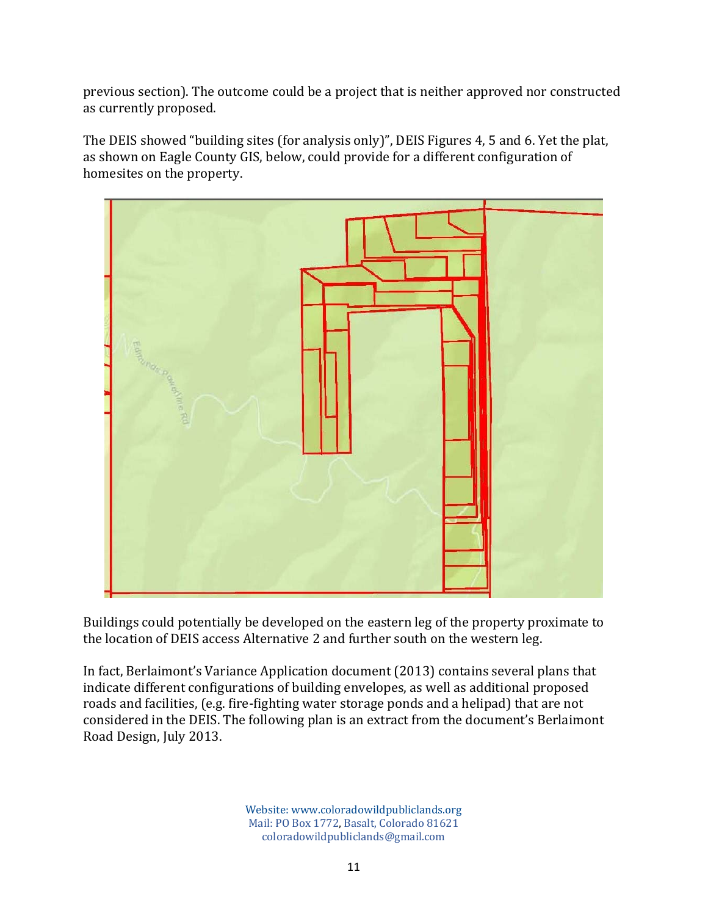previous section). The outcome could be a project that is neither approved nor constructed as currently proposed.

The DEIS showed "building sites (for analysis only)", DEIS Figures 4, 5 and 6. Yet the plat, as shown on Eagle County GIS, below, could provide for a different configuration of homesites on the property.



Buildings could potentially be developed on the eastern leg of the property proximate to the location of DEIS access Alternative 2 and further south on the western leg.

In fact, Berlaimont's Variance Application document (2013) contains several plans that indicate different configurations of building envelopes, as well as additional proposed roads and facilities, (e.g. fire-fighting water storage ponds and a helipad) that are not considered in the DEIS. The following plan is an extract from the document's Berlaimont Road Design, July 2013.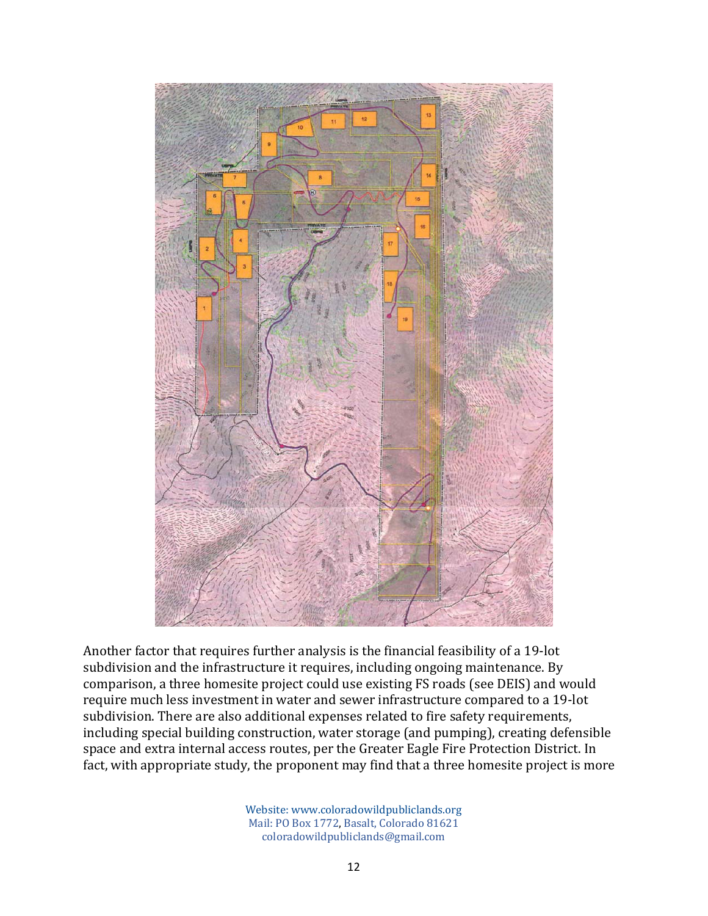

Another factor that requires further analysis is the financial feasibility of a 19-lot subdivision and the infrastructure it requires, including ongoing maintenance. By comparison, a three homesite project could use existing FS roads (see DEIS) and would require much less investment in water and sewer infrastructure compared to a 19-lot subdivision. There are also additional expenses related to fire safety requirements, including special building construction, water storage (and pumping), creating defensible space and extra internal access routes, per the Greater Eagle Fire Protection District. In fact, with appropriate study, the proponent may find that a three homesite project is more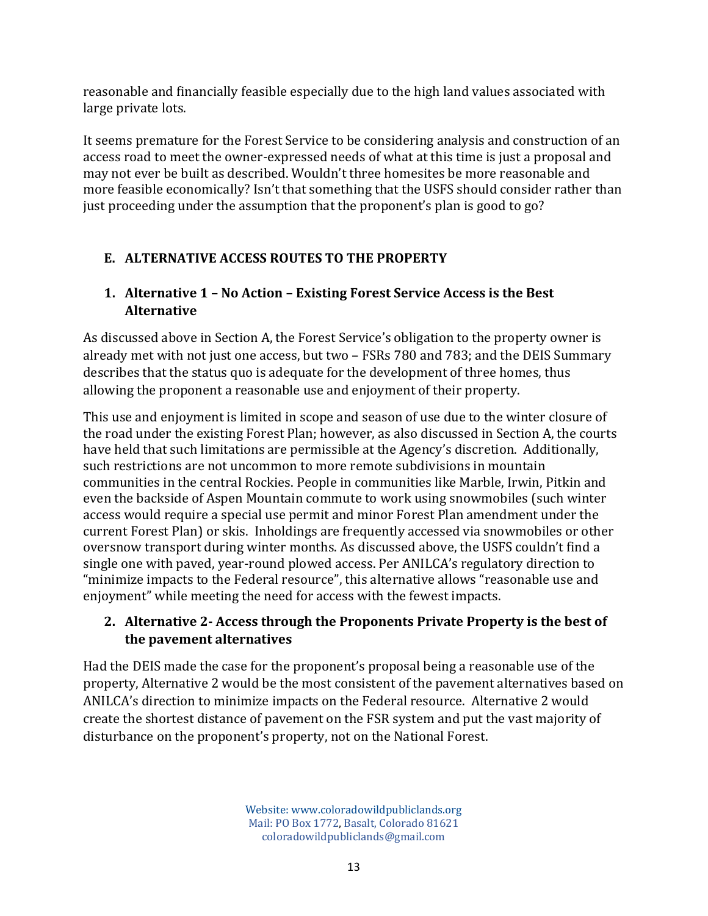reasonable and financially feasible especially due to the high land values associated with large private lots.

It seems premature for the Forest Service to be considering analysis and construction of an access road to meet the owner-expressed needs of what at this time is just a proposal and may not ever be built as described. Wouldn't three homesites be more reasonable and more feasible economically? Isn't that something that the USFS should consider rather than just proceeding under the assumption that the proponent's plan is good to go?

# **E. ALTERNATIVE ACCESS ROUTES TO THE PROPERTY**

## **1. Alternative 1 – No Action – Existing Forest Service Access is the Best Alternative**

As discussed above in Section A, the Forest Service's obligation to the property owner is already met with not just one access, but two – FSRs 780 and 783; and the DEIS Summary describes that the status quo is adequate for the development of three homes, thus allowing the proponent a reasonable use and enjoyment of their property.

This use and enjoyment is limited in scope and season of use due to the winter closure of the road under the existing Forest Plan; however, as also discussed in Section A, the courts have held that such limitations are permissible at the Agency's discretion. Additionally, such restrictions are not uncommon to more remote subdivisions in mountain communities in the central Rockies. People in communities like Marble, Irwin, Pitkin and even the backside of Aspen Mountain commute to work using snowmobiles (such winter access would require a special use permit and minor Forest Plan amendment under the current Forest Plan) or skis. Inholdings are frequently accessed via snowmobiles or other oversnow transport during winter months. As discussed above, the USFS couldn't find a single one with paved, year-round plowed access. Per ANILCA's regulatory direction to "minimize impacts to the Federal resource", this alternative allows "reasonable use and enjoyment" while meeting the need for access with the fewest impacts.

### **2. Alternative 2‐ Access through the Proponents Private Property is the best of the pavement alternatives**

Had the DEIS made the case for the proponent's proposal being a reasonable use of the property, Alternative 2 would be the most consistent of the pavement alternatives based on ANILCA's direction to minimize impacts on the Federal resource. Alternative 2 would create the shortest distance of pavement on the FSR system and put the vast majority of disturbance on the proponent's property, not on the National Forest.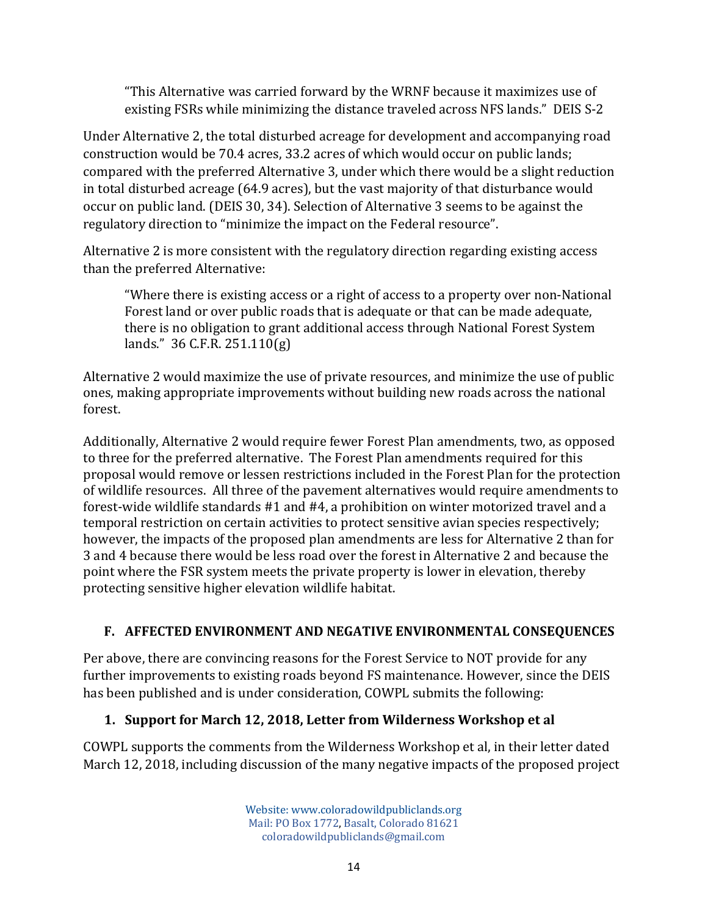"This Alternative was carried forward by the WRNF because it maximizes use of existing FSRs while minimizing the distance traveled across NFS lands." DEIS S-2

Under Alternative 2, the total disturbed acreage for development and accompanying road construction would be 70.4 acres, 33.2 acres of which would occur on public lands; compared with the preferred Alternative 3, under which there would be a slight reduction in total disturbed acreage (64.9 acres), but the vast majority of that disturbance would occur on public land. (DEIS 30, 34). Selection of Alternative 3 seems to be against the regulatory direction to "minimize the impact on the Federal resource".

Alternative 2 is more consistent with the regulatory direction regarding existing access than the preferred Alternative:

"Where there is existing access or a right of access to a property over non-National Forest land or over public roads that is adequate or that can be made adequate, there is no obligation to grant additional access through National Forest System lands." 36 C.F.R. 251.110(g)

Alternative 2 would maximize the use of private resources, and minimize the use of public ones, making appropriate improvements without building new roads across the national forest.

Additionally, Alternative 2 would require fewer Forest Plan amendments, two, as opposed to three for the preferred alternative. The Forest Plan amendments required for this proposal would remove or lessen restrictions included in the Forest Plan for the protection of wildlife resources. All three of the pavement alternatives would require amendments to forest-wide wildlife standards #1 and #4, a prohibition on winter motorized travel and a temporal restriction on certain activities to protect sensitive avian species respectively; however, the impacts of the proposed plan amendments are less for Alternative 2 than for 3 and 4 because there would be less road over the forest in Alternative 2 and because the point where the FSR system meets the private property is lower in elevation, thereby protecting sensitive higher elevation wildlife habitat.

# **F. AFFECTED ENVIRONMENT AND NEGATIVE ENVIRONMENTAL CONSEQUENCES**

Per above, there are convincing reasons for the Forest Service to NOT provide for any further improvements to existing roads beyond FS maintenance. However, since the DEIS has been published and is under consideration, COWPL submits the following:

# **1. Support for March 12, 2018, Letter from Wilderness Workshop et al**

COWPL supports the comments from the Wilderness Workshop et al, in their letter dated March 12, 2018, including discussion of the many negative impacts of the proposed project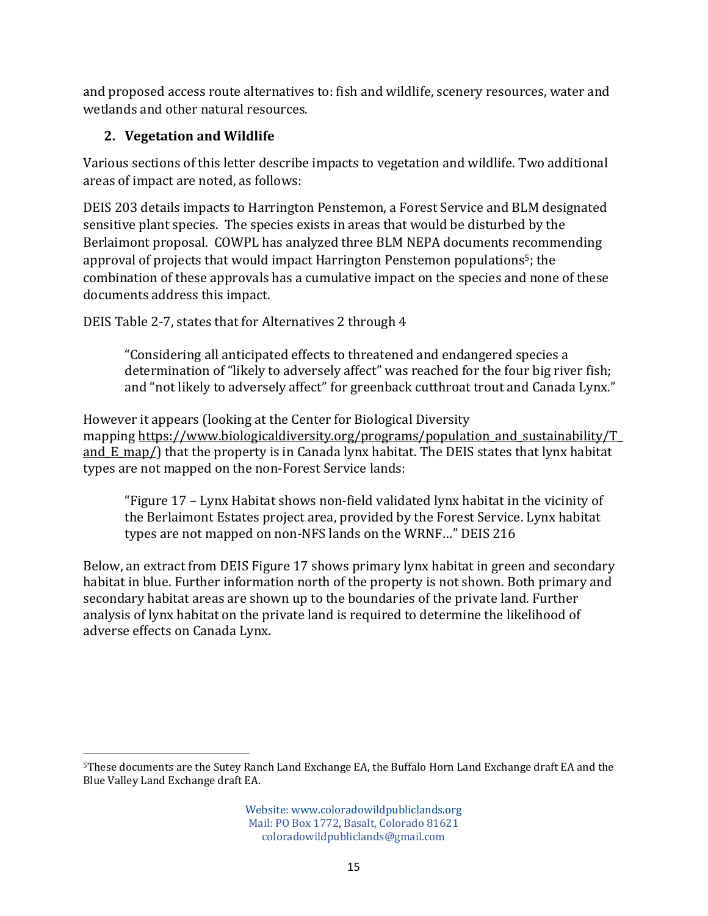and proposed access route alternatives to: fish and wildlife, scenery resources, water and wetlands and other natural resources.

# **2. Vegetation and Wildlife**

Various sections of this letter describe impacts to vegetation and wildlife. Two additional areas of impact are noted, as follows:

DEIS 203 details impacts to Harrington Penstemon, a Forest Service and BLM designated sensitive plant species. The species exists in areas that would be disturbed by the Berlaimont proposal. COWPL has analyzed three BLM NEPA documents recommending approval of projects that would impact Harrington Penstemon populations<sup>5</sup>; the combination of these approvals has a cumulative impact on the species and none of these documents address this impact.

DEIS Table 2-7, states that for Alternatives 2 through 4

"Considering all anticipated effects to threatened and endangered species a determination of "likely to adversely affect" was reached for the four big river fish; and "not likely to adversely affect" for greenback cutthroat trout and Canada Lynx."

However it appears (looking at the Center for Biological Diversity mapping https://www.biologicaldiversity.org/programs/population\_and\_sustainability/T\_ and  $E$  map/) that the property is in Canada lynx habitat. The DEIS states that lynx habitat types are not mapped on the non-Forest Service lands:

"Figure 17 – Lynx Habitat shows non-field validated lynx habitat in the vicinity of the Berlaimont Estates project area, provided by the Forest Service. Lynx habitat types are not mapped on non-NFS lands on the WRNF…" DEIS 216

Below, an extract from DEIS Figure 17 shows primary lynx habitat in green and secondary habitat in blue. Further information north of the property is not shown. Both primary and secondary habitat areas are shown up to the boundaries of the private land. Further analysis of lynx habitat on the private land is required to determine the likelihood of adverse effects on Canada Lynx.

 5These documents are the Sutey Ranch Land Exchange EA, the Buffalo Horn Land Exchange draft EA and the Blue Valley Land Exchange draft EA.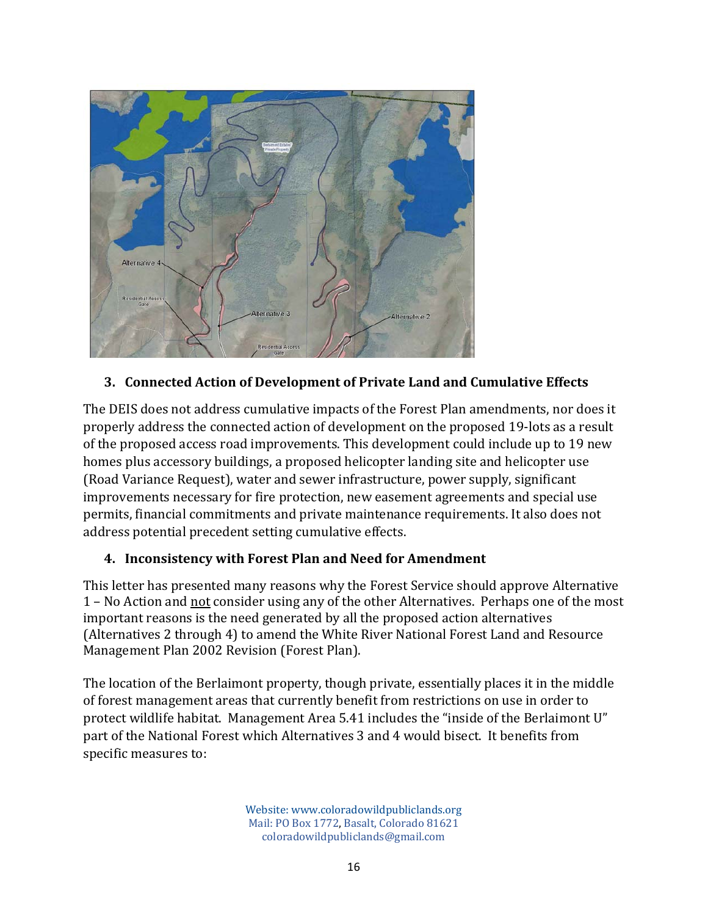

#### **3. Connected Action of Development of Private Land and Cumulative Effects**

The DEIS does not address cumulative impacts of the Forest Plan amendments, nor does it properly address the connected action of development on the proposed 19-lots as a result of the proposed access road improvements. This development could include up to 19 new homes plus accessory buildings, a proposed helicopter landing site and helicopter use (Road Variance Request), water and sewer infrastructure, power supply, significant improvements necessary for fire protection, new easement agreements and special use permits, financial commitments and private maintenance requirements. It also does not address potential precedent setting cumulative effects.

#### **4. Inconsistency with Forest Plan and Need for Amendment**

This letter has presented many reasons why the Forest Service should approve Alternative 1 – No Action and not consider using any of the other Alternatives. Perhaps one of the most important reasons is the need generated by all the proposed action alternatives (Alternatives 2 through 4) to amend the White River National Forest Land and Resource Management Plan 2002 Revision (Forest Plan).

The location of the Berlaimont property, though private, essentially places it in the middle of forest management areas that currently benefit from restrictions on use in order to protect wildlife habitat. Management Area 5.41 includes the "inside of the Berlaimont U" part of the National Forest which Alternatives 3 and 4 would bisect. It benefits from specific measures to: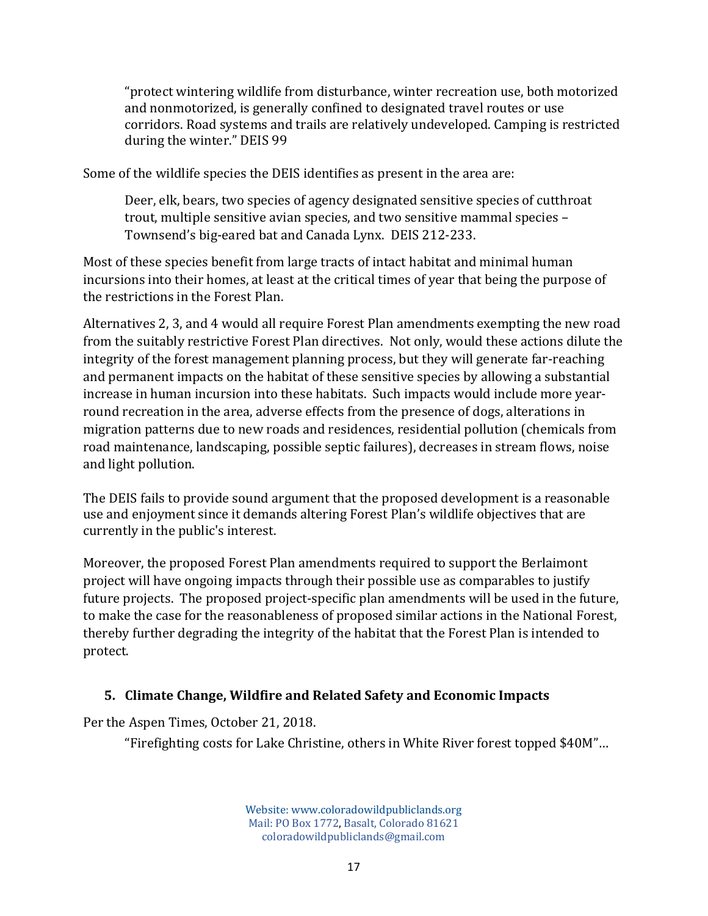"protect wintering wildlife from disturbance, winter recreation use, both motorized and nonmotorized, is generally confined to designated travel routes or use corridors. Road systems and trails are relatively undeveloped. Camping is restricted during the winter." DEIS 99

Some of the wildlife species the DEIS identifies as present in the area are:

Deer, elk, bears, two species of agency designated sensitive species of cutthroat trout, multiple sensitive avian species, and two sensitive mammal species – Townsend's big-eared bat and Canada Lynx. DEIS 212-233.

Most of these species benefit from large tracts of intact habitat and minimal human incursions into their homes, at least at the critical times of year that being the purpose of the restrictions in the Forest Plan.

Alternatives 2, 3, and 4 would all require Forest Plan amendments exempting the new road from the suitably restrictive Forest Plan directives. Not only, would these actions dilute the integrity of the forest management planning process, but they will generate far-reaching and permanent impacts on the habitat of these sensitive species by allowing a substantial increase in human incursion into these habitats. Such impacts would include more yearround recreation in the area, adverse effects from the presence of dogs, alterations in migration patterns due to new roads and residences, residential pollution (chemicals from road maintenance, landscaping, possible septic failures), decreases in stream flows, noise and light pollution.

The DEIS fails to provide sound argument that the proposed development is a reasonable use and enjoyment since it demands altering Forest Plan's wildlife objectives that are currently in the public's interest.

Moreover, the proposed Forest Plan amendments required to support the Berlaimont project will have ongoing impacts through their possible use as comparables to justify future projects. The proposed project-specific plan amendments will be used in the future, to make the case for the reasonableness of proposed similar actions in the National Forest, thereby further degrading the integrity of the habitat that the Forest Plan is intended to protect.

#### **5. Climate Change, Wildfire and Related Safety and Economic Impacts**

Per the Aspen Times, October 21, 2018.

"Firefighting costs for Lake Christine, others in White River forest topped \$40M"…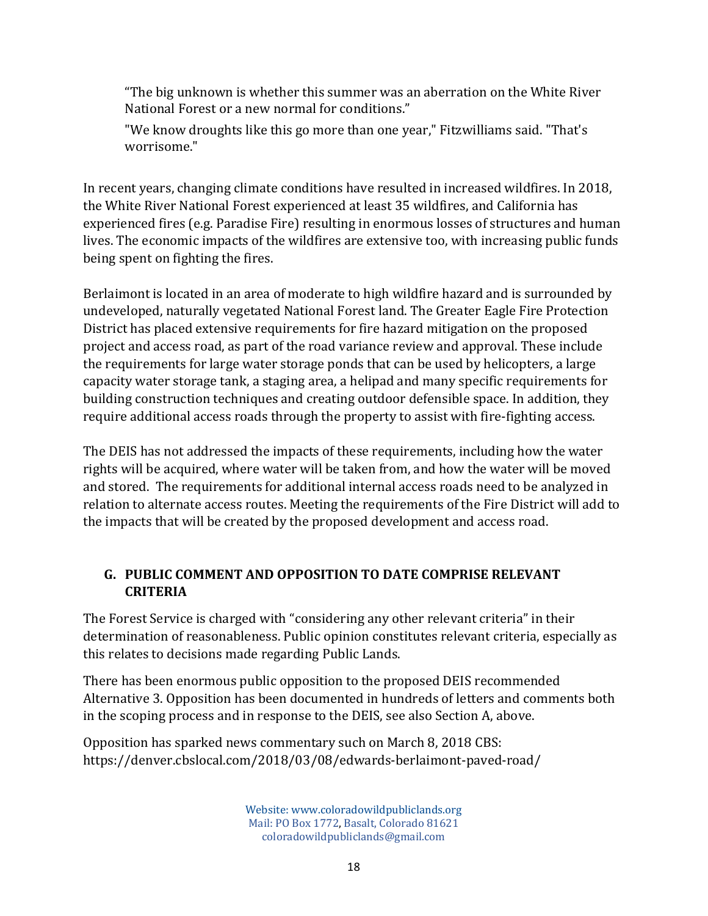"The big unknown is whether this summer was an aberration on the White River National Forest or a new normal for conditions."

"We know droughts like this go more than one year," Fitzwilliams said. "That's worrisome."

In recent years, changing climate conditions have resulted in increased wildfires. In 2018, the White River National Forest experienced at least 35 wildfires, and California has experienced fires (e.g. Paradise Fire) resulting in enormous losses of structures and human lives. The economic impacts of the wildfires are extensive too, with increasing public funds being spent on fighting the fires.

Berlaimont is located in an area of moderate to high wildfire hazard and is surrounded by undeveloped, naturally vegetated National Forest land. The Greater Eagle Fire Protection District has placed extensive requirements for fire hazard mitigation on the proposed project and access road, as part of the road variance review and approval. These include the requirements for large water storage ponds that can be used by helicopters, a large capacity water storage tank, a staging area, a helipad and many specific requirements for building construction techniques and creating outdoor defensible space. In addition, they require additional access roads through the property to assist with fire-fighting access.

The DEIS has not addressed the impacts of these requirements, including how the water rights will be acquired, where water will be taken from, and how the water will be moved and stored. The requirements for additional internal access roads need to be analyzed in relation to alternate access routes. Meeting the requirements of the Fire District will add to the impacts that will be created by the proposed development and access road.

### **G. PUBLIC COMMENT AND OPPOSITION TO DATE COMPRISE RELEVANT CRITERIA**

The Forest Service is charged with "considering any other relevant criteria" in their determination of reasonableness. Public opinion constitutes relevant criteria, especially as this relates to decisions made regarding Public Lands.

There has been enormous public opposition to the proposed DEIS recommended Alternative 3. Opposition has been documented in hundreds of letters and comments both in the scoping process and in response to the DEIS, see also Section A, above.

Opposition has sparked news commentary such on March 8, 2018 CBS: https://denver.cbslocal.com/2018/03/08/edwards-berlaimont-paved-road/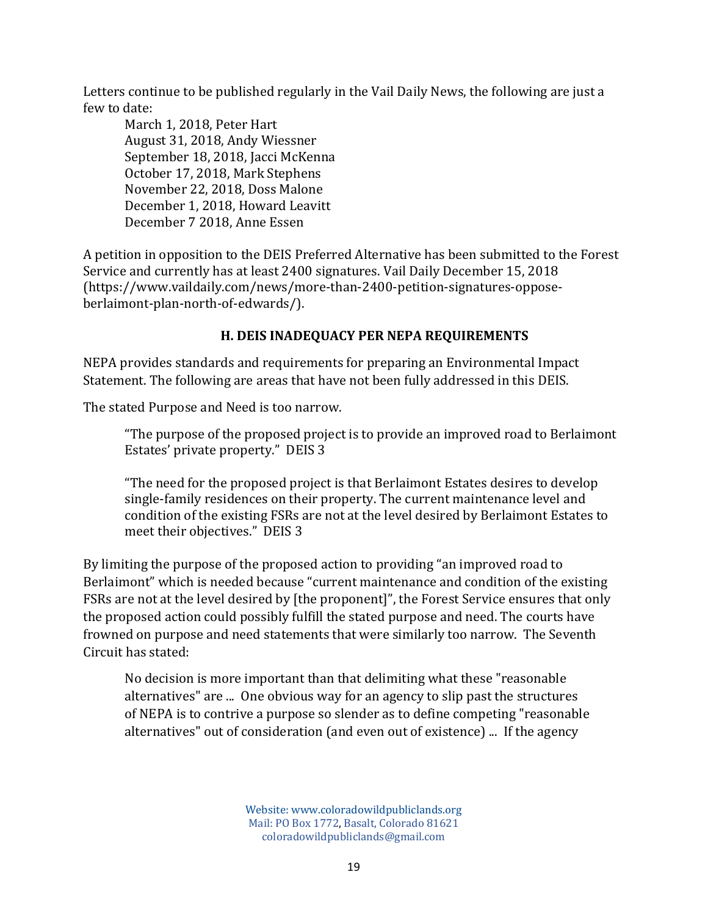Letters continue to be published regularly in the Vail Daily News, the following are just a few to date:

March 1, 2018, Peter Hart August 31, 2018, Andy Wiessner September 18, 2018, Jacci McKenna October 17, 2018, Mark Stephens November 22, 2018, Doss Malone December 1, 2018, Howard Leavitt December 7 2018, Anne Essen

A petition in opposition to the DEIS Preferred Alternative has been submitted to the Forest Service and currently has at least 2400 signatures. Vail Daily December 15, 2018 (https://www.vaildaily.com/news/more-than-2400-petition-signatures-opposeberlaimont-plan-north-of-edwards/).

### **H. DEIS INADEQUACY PER NEPA REQUIREMENTS**

NEPA provides standards and requirements for preparing an Environmental Impact Statement. The following are areas that have not been fully addressed in this DEIS.

The stated Purpose and Need is too narrow.

"The purpose of the proposed project is to provide an improved road to Berlaimont Estates' private property." DEIS 3

"The need for the proposed project is that Berlaimont Estates desires to develop single-family residences on their property. The current maintenance level and condition of the existing FSRs are not at the level desired by Berlaimont Estates to meet their objectives." DEIS 3

By limiting the purpose of the proposed action to providing "an improved road to Berlaimont" which is needed because "current maintenance and condition of the existing FSRs are not at the level desired by [the proponent]", the Forest Service ensures that only the proposed action could possibly fulfill the stated purpose and need. The courts have frowned on purpose and need statements that were similarly too narrow. The Seventh Circuit has stated:

No decision is more important than that delimiting what these "reasonable alternatives" are ... One obvious way for an agency to slip past the structures of NEPA is to contrive a purpose so slender as to define competing "reasonable alternatives" out of consideration (and even out of existence) ... If the agency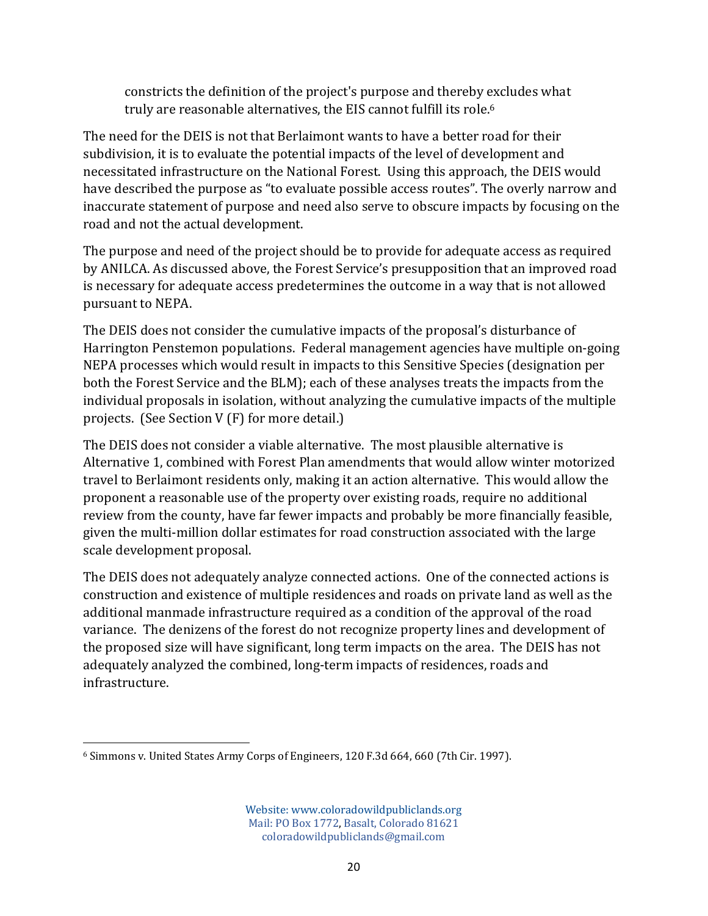constricts the definition of the project's purpose and thereby excludes what truly are reasonable alternatives, the EIS cannot fulfill its role.<sup>6</sup>

The need for the DEIS is not that Berlaimont wants to have a better road for their subdivision, it is to evaluate the potential impacts of the level of development and necessitated infrastructure on the National Forest. Using this approach, the DEIS would have described the purpose as "to evaluate possible access routes". The overly narrow and inaccurate statement of purpose and need also serve to obscure impacts by focusing on the road and not the actual development.

The purpose and need of the project should be to provide for adequate access as required by ANILCA. As discussed above, the Forest Service's presupposition that an improved road is necessary for adequate access predetermines the outcome in a way that is not allowed pursuant to NEPA.

The DEIS does not consider the cumulative impacts of the proposal's disturbance of Harrington Penstemon populations. Federal management agencies have multiple on-going NEPA processes which would result in impacts to this Sensitive Species (designation per both the Forest Service and the BLM); each of these analyses treats the impacts from the individual proposals in isolation, without analyzing the cumulative impacts of the multiple projects. (See Section V (F) for more detail.)

The DEIS does not consider a viable alternative. The most plausible alternative is Alternative 1, combined with Forest Plan amendments that would allow winter motorized travel to Berlaimont residents only, making it an action alternative. This would allow the proponent a reasonable use of the property over existing roads, require no additional review from the county, have far fewer impacts and probably be more financially feasible, given the multi-million dollar estimates for road construction associated with the large scale development proposal.

The DEIS does not adequately analyze connected actions. One of the connected actions is construction and existence of multiple residences and roads on private land as well as the additional manmade infrastructure required as a condition of the approval of the road variance. The denizens of the forest do not recognize property lines and development of the proposed size will have significant, long term impacts on the area. The DEIS has not adequately analyzed the combined, long-term impacts of residences, roads and infrastructure.

 6 Simmons v. United States Army Corps of Engineers, 120 F.3d 664, 660 (7th Cir. 1997).